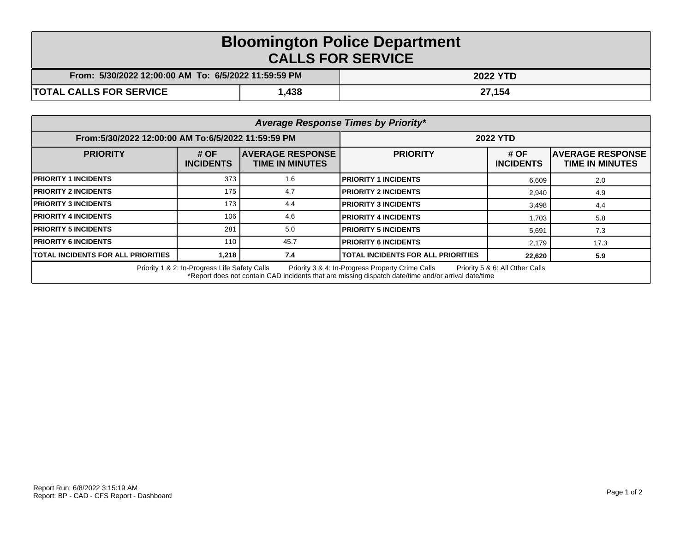## **Bloomington Police Department CALLS FOR SERVICE**

| From: 5/30/2022 12:00:00 AM To: 6/5/2022 11:59:59 PM |      | <b>2022 YTD</b> |
|------------------------------------------------------|------|-----------------|
| <b>TOTAL CALLS FOR SERVICE</b>                       | ,438 | 27,154          |

| Average Response Times by Priority*                                                                                                                                                                                                         |                            |                                                   |                                           |                          |                                                   |  |  |
|---------------------------------------------------------------------------------------------------------------------------------------------------------------------------------------------------------------------------------------------|----------------------------|---------------------------------------------------|-------------------------------------------|--------------------------|---------------------------------------------------|--|--|
| From:5/30/2022 12:00:00 AM To:6/5/2022 11:59:59 PM                                                                                                                                                                                          |                            | <b>2022 YTD</b>                                   |                                           |                          |                                                   |  |  |
| <b>PRIORITY</b>                                                                                                                                                                                                                             | # $OF$<br><b>INCIDENTS</b> | <b>AVERAGE RESPONSE</b><br><b>TIME IN MINUTES</b> | <b>PRIORITY</b>                           | # OF<br><b>INCIDENTS</b> | <b>AVERAGE RESPONSE</b><br><b>TIME IN MINUTES</b> |  |  |
| <b>PRIORITY 1 INCIDENTS</b>                                                                                                                                                                                                                 | 373                        | 1.6                                               | <b>PRIORITY 1 INCIDENTS</b>               | 6,609                    | 2.0                                               |  |  |
| <b>PRIORITY 2 INCIDENTS</b>                                                                                                                                                                                                                 | 175                        | 4.7                                               | <b>PRIORITY 2 INCIDENTS</b>               | 2,940                    | 4.9                                               |  |  |
| <b>PRIORITY 3 INCIDENTS</b>                                                                                                                                                                                                                 | 173                        | 4.4                                               | <b>PRIORITY 3 INCIDENTS</b>               | 3,498                    | 4.4                                               |  |  |
| <b>PRIORITY 4 INCIDENTS</b>                                                                                                                                                                                                                 | 106                        | 4.6                                               | <b>PRIORITY 4 INCIDENTS</b>               | 1,703                    | 5.8                                               |  |  |
| <b>PRIORITY 5 INCIDENTS</b>                                                                                                                                                                                                                 | 281                        | 5.0                                               | <b>PRIORITY 5 INCIDENTS</b>               | 5,691                    | 7.3                                               |  |  |
| <b>PRIORITY 6 INCIDENTS</b>                                                                                                                                                                                                                 | 110                        | 45.7                                              | <b>PRIORITY 6 INCIDENTS</b>               | 2.179                    | 17.3                                              |  |  |
| <b>TOTAL INCIDENTS FOR ALL PRIORITIES</b>                                                                                                                                                                                                   | 1.218                      | 7.4                                               | <b>TOTAL INCIDENTS FOR ALL PRIORITIES</b> | 22,620                   | 5.9                                               |  |  |
| Priority 1 & 2: In-Progress Life Safety Calls<br>Priority 3 & 4: In-Progress Property Crime Calls<br>Priority 5 & 6: All Other Calls<br>*Report does not contain CAD incidents that are missing dispatch date/time and/or arrival date/time |                            |                                                   |                                           |                          |                                                   |  |  |